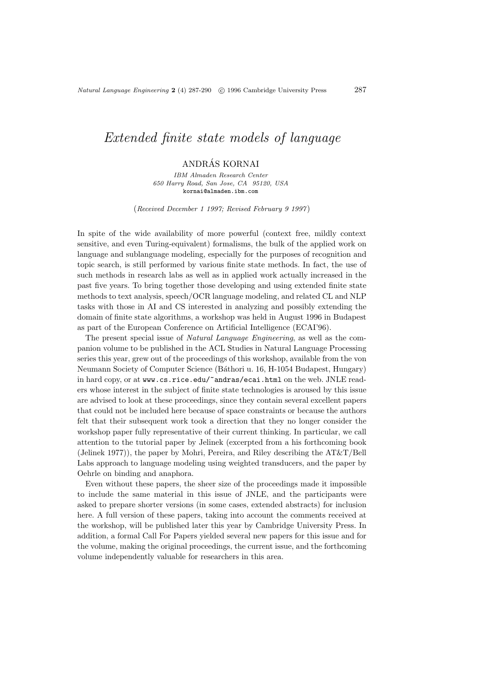# Extended finite state models of language

# ANDRAS KORNAI ´

IBM Almaden Research Center 650 Harry Road, San Jose, CA 95120, USA kornai@almaden.ibm.com

(Received December 1 1997; Revised February 9 1997 )

In spite of the wide availability of more powerful (context free, mildly context sensitive, and even Turing-equivalent) formalisms, the bulk of the applied work on language and sublanguage modeling, especially for the purposes of recognition and topic search, is still performed by various finite state methods. In fact, the use of such methods in research labs as well as in applied work actually increased in the past five years. To bring together those developing and using extended finite state methods to text analysis, speech/OCR language modeling, and related CL and NLP tasks with those in AI and CS interested in analyzing and possibly extending the domain of finite state algorithms, a workshop was held in August 1996 in Budapest as part of the European Conference on Artificial Intelligence (ECAI'96).

The present special issue of Natural Language Engineering, as well as the companion volume to be published in the ACL Studies in Natural Language Processing series this year, grew out of the proceedings of this workshop, available from the von Neumann Society of Computer Science (B´athori u. 16, H-1054 Budapest, Hungary) in hard copy, or at www.cs.rice.edu/~andras/ecai.html on the web. JNLE readers whose interest in the subject of finite state technologies is aroused by this issue are advised to look at these proceedings, since they contain several excellent papers that could not be included here because of space constraints or because the authors felt that their subsequent work took a direction that they no longer consider the workshop paper fully representative of their current thinking. In particular, we call attention to the tutorial paper by Jelinek (excerpted from a his forthcoming book (Jelinek 1977)), the paper by Mohri, Pereira, and Riley describing the AT&T/Bell Labs approach to language modeling using weighted transducers, and the paper by Oehrle on binding and anaphora.

Even without these papers, the sheer size of the proceedings made it impossible to include the same material in this issue of JNLE, and the participants were asked to prepare shorter versions (in some cases, extended abstracts) for inclusion here. A full version of these papers, taking into account the comments received at the workshop, will be published later this year by Cambridge University Press. In addition, a formal Call For Papers yielded several new papers for this issue and for the volume, making the original proceedings, the current issue, and the forthcoming volume independently valuable for researchers in this area.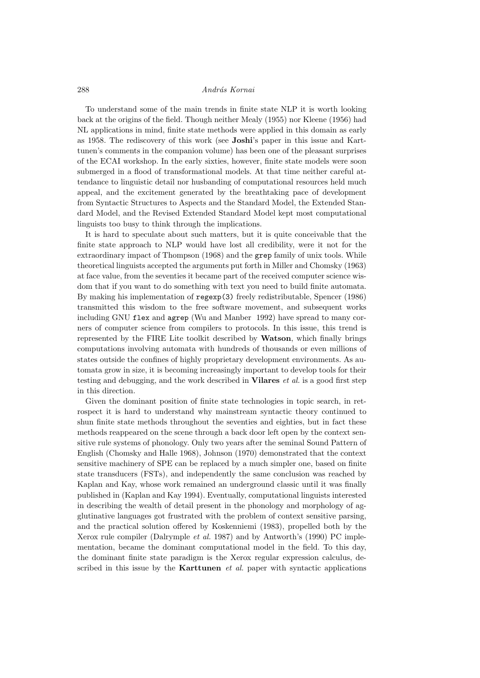### 288 András Kornai

To understand some of the main trends in finite state NLP it is worth looking back at the origins of the field. Though neither Mealy (1955) nor Kleene (1956) had NL applications in mind, finite state methods were applied in this domain as early as 1958. The rediscovery of this work (see Joshi's paper in this issue and Karttunen's comments in the companion volume) has been one of the pleasant surprises of the ECAI workshop. In the early sixties, however, finite state models were soon submerged in a flood of transformational models. At that time neither careful attendance to linguistic detail nor husbanding of computational resources held much appeal, and the excitement generated by the breathtaking pace of development from Syntactic Structures to Aspects and the Standard Model, the Extended Standard Model, and the Revised Extended Standard Model kept most computational linguists too busy to think through the implications.

It is hard to speculate about such matters, but it is quite conceivable that the finite state approach to NLP would have lost all credibility, were it not for the extraordinary impact of Thompson (1968) and the grep family of unix tools. While theoretical linguists accepted the arguments put forth in Miller and Chomsky (1963) at face value, from the seventies it became part of the received computer science wisdom that if you want to do something with text you need to build finite automata. By making his implementation of regexp(3) freely redistributable, Spencer (1986) transmitted this wisdom to the free software movement, and subsequent works including GNU flex and agrep (Wu and Manber 1992) have spread to many corners of computer science from compilers to protocols. In this issue, this trend is represented by the FIRE Lite toolkit described by Watson, which finally brings computations involving automata with hundreds of thousands or even millions of states outside the confines of highly proprietary development environments. As automata grow in size, it is becoming increasingly important to develop tools for their testing and debugging, and the work described in **Vilares**  $et al.$  is a good first step in this direction.

Given the dominant position of finite state technologies in topic search, in retrospect it is hard to understand why mainstream syntactic theory continued to shun finite state methods throughout the seventies and eighties, but in fact these methods reappeared on the scene through a back door left open by the context sensitive rule systems of phonology. Only two years after the seminal Sound Pattern of English (Chomsky and Halle 1968), Johnson (1970) demonstrated that the context sensitive machinery of SPE can be replaced by a much simpler one, based on finite state transducers (FSTs), and independently the same conclusion was reached by Kaplan and Kay, whose work remained an underground classic until it was finally published in (Kaplan and Kay 1994). Eventually, computational linguists interested in describing the wealth of detail present in the phonology and morphology of agglutinative languages got frustrated with the problem of context sensitive parsing, and the practical solution offered by Koskenniemi (1983), propelled both by the Xerox rule compiler (Dalrymple et al. 1987) and by Antworth's (1990) PC implementation, became the dominant computational model in the field. To this day, the dominant finite state paradigm is the Xerox regular expression calculus, described in this issue by the **Karttunen** et al. paper with syntactic applications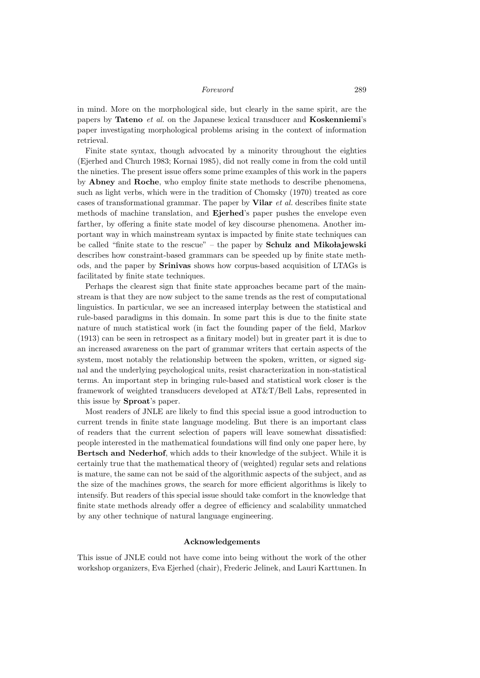#### Foreword 289

in mind. More on the morphological side, but clearly in the same spirit, are the papers by Tateno et al. on the Japanese lexical transducer and Koskenniemi's paper investigating morphological problems arising in the context of information retrieval.

Finite state syntax, though advocated by a minority throughout the eighties (Ejerhed and Church 1983; Kornai 1985), did not really come in from the cold until the nineties. The present issue offers some prime examples of this work in the papers by Abney and Roche, who employ finite state methods to describe phenomena, such as light verbs, which were in the tradition of Chomsky (1970) treated as core cases of transformational grammar. The paper by Vilar et al. describes finite state methods of machine translation, and Ejerhed's paper pushes the envelope even farther, by offering a finite state model of key discourse phenomena. Another important way in which mainstream syntax is impacted by finite state techniques can be called "finite state to the rescue" – the paper by Schulz and Mikołajewski describes how constraint-based grammars can be speeded up by finite state methods, and the paper by Srinivas shows how corpus-based acquisition of LTAGs is facilitated by finite state techniques.

Perhaps the clearest sign that finite state approaches became part of the mainstream is that they are now subject to the same trends as the rest of computational linguistics. In particular, we see an increased interplay between the statistical and rule-based paradigms in this domain. In some part this is due to the finite state nature of much statistical work (in fact the founding paper of the field, Markov (1913) can be seen in retrospect as a finitary model) but in greater part it is due to an increased awareness on the part of grammar writers that certain aspects of the system, most notably the relationship between the spoken, written, or signed signal and the underlying psychological units, resist characterization in non-statistical terms. An important step in bringing rule-based and statistical work closer is the framework of weighted transducers developed at AT&T/Bell Labs, represented in this issue by Sproat's paper.

Most readers of JNLE are likely to find this special issue a good introduction to current trends in finite state language modeling. But there is an important class of readers that the current selection of papers will leave somewhat dissatisfied: people interested in the mathematical foundations will find only one paper here, by Bertsch and Nederhof, which adds to their knowledge of the subject. While it is certainly true that the mathematical theory of (weighted) regular sets and relations is mature, the same can not be said of the algorithmic aspects of the subject, and as the size of the machines grows, the search for more efficient algorithms is likely to intensify. But readers of this special issue should take comfort in the knowledge that finite state methods already offer a degree of efficiency and scalability unmatched by any other technique of natural language engineering.

## Acknowledgements

This issue of JNLE could not have come into being without the work of the other workshop organizers, Eva Ejerhed (chair), Frederic Jelinek, and Lauri Karttunen. In